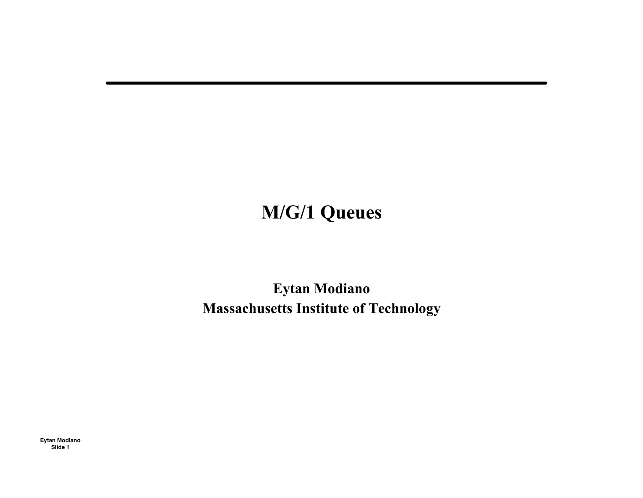## **M/G/1 Queues**

Eytan Modiano **Massachusetts Institute of Technology**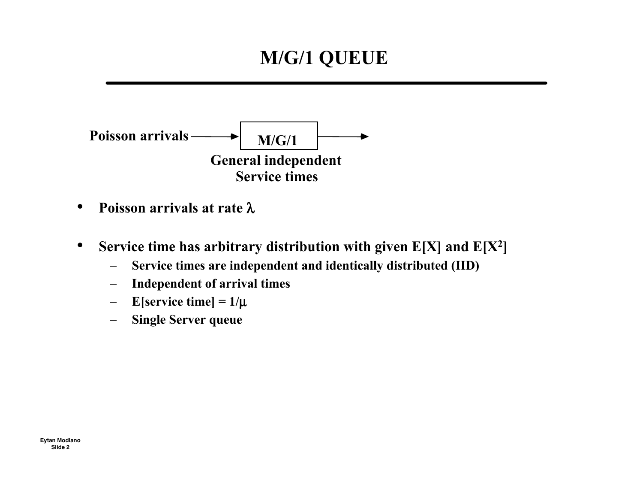## **M/G/1 QUEUE**



- **Poisson arrivals at rate** λ
- **Service time has arbitrary distribution with given E[X] and E[X2]**
	- **Service times are independent and identically distributed (IID)**
	- **Independent of arrival times**
	- $-$  **E**[service time] =  $1/\mu$
	- **Single Server queue**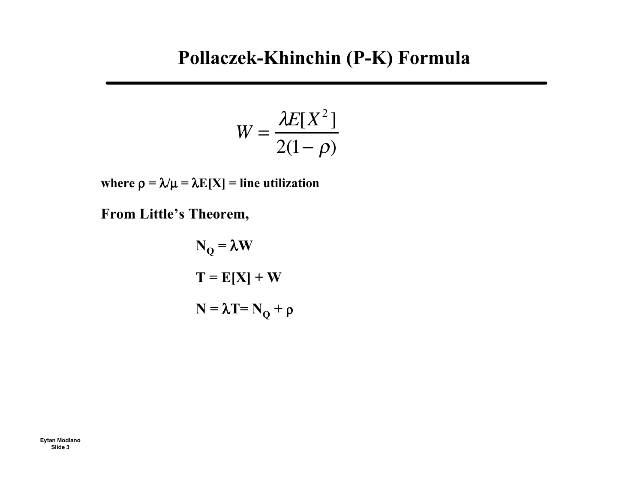### **Pollaczek-Khinchin (P-K) Formula**

$$
W = \frac{\lambda E[X^2]}{2(1-\rho)}
$$

**where**  $\rho = \lambda / \mu = \lambda E[X] =$  **line utilization** 

**From Little's Theorem,**

$$
N_{Q} = \lambda W
$$

$$
T = E[X] + W
$$

$$
N = \lambda T = N_{Q} + \rho
$$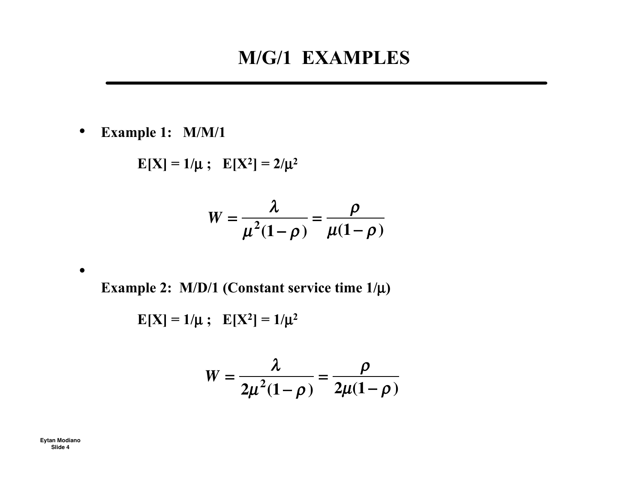#### **M/G/1 EXAMPLES**

• **Example 1: M/M/1**

 $E[X] = 1/\mu$ ;  $E[X^2] = 2/\mu^2$ 

$$
W = \frac{\lambda}{\mu^2 (1 - \rho)} = \frac{\rho}{\mu (1 - \rho)}
$$

**Example 2: M/D/1 (Constant service time 1/**µ**)** in the contract of the contract of the contract of the contract of the contract of the contract of the contract of the contract of the contract of the contract of the contract of the contract of the contract of the contrac

$$
E[X] = 1/\mu \; ; \; E[X^2] = 1/\mu^2
$$

$$
W=\frac{\lambda}{2\mu^2(1-\rho)}=\frac{\rho}{2\mu(1-\rho)}
$$

**Eytan Modiano Slide 4**

 $\bullet$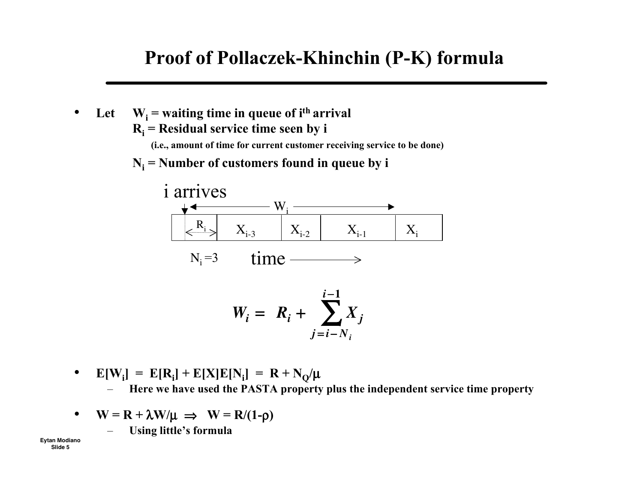#### **Proof of Pollaczek-Khinchin (P-K) formula**

- Let  $W_i$  = waiting time in queue of  $i$ <sup>th</sup> arrival  $R_i$  = **Residual service time seen** by **i (i.e., amount of time for current customer receiving service to be done)**
	- $N_i$  = **Number** of **customers** found in queue by **i**



- **E**[**W**<sub>i</sub>] = **E**[**R**<sub>i</sub>] + **E**[**X**]**E**[**N**<sub>i</sub>] = **R** + **N**<sub>Q</sub>/µ – **Here we have used the PASTA property plus the independent service time property**  $\overline{a}$
- $W = R + \lambda W / \mu \implies W = R / (1 \rho)$ 
	- **Using little's formula**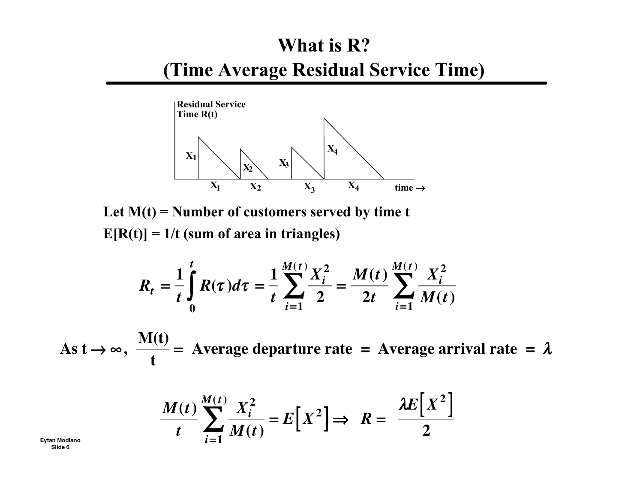# What is R? (Time Average Residual Service Time)



Let  $M(t)$  = Number of customers served by time t  $E[R(t)] = 1/t$  (sum of area in triangles)

$$
R_{t} = \frac{1}{t} \int_{0}^{t} R(\tau) d\tau = \frac{1}{t} \sum_{i=1}^{M(t)} \frac{X_{i}^{2}}{2} = \frac{M(t)}{2t} \sum_{i=1}^{M(t)} \frac{X_{i}^{2}}{M(t)}
$$

As  $t \rightarrow \infty$ ,  $\frac{M(t)}{t}$  = Average departure rate = Average arrival rate =  $\lambda$ 

$$
\frac{M(t)}{t}\sum_{i=1}^{M(t)}\frac{X_i^2}{M(t)} = E[X^2] \Rightarrow R = \frac{\lambda E[X^2]}{2}
$$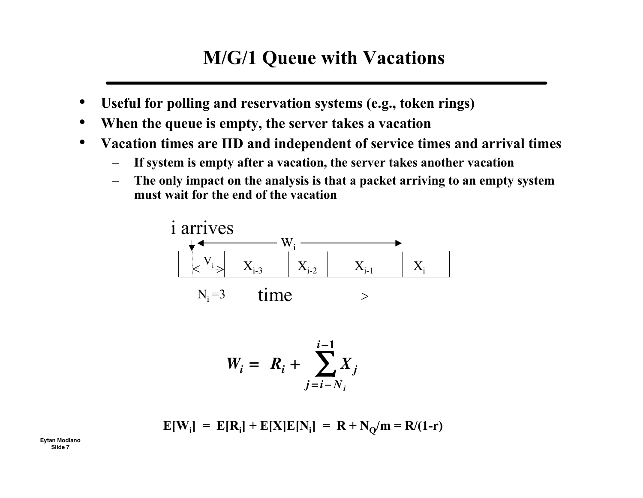### **M/G/1 Queue with Vacations**

- **Useful for polling and reservation systems (e.g., token rings)**
- **When the queue is empty, the server takes a vacation**
- **Vacation times are IID and independent of service times and arrival times**
	- **If system is empty after a vacation, the server takes another vacation**
	- **The only impact on the analysis is that a packet arriving to an empty system must wait for the end of the vacation**



$$
W_i = R_i + \sum_{j=i-N_i}^{i-1} X_j
$$

$$
E[W_i] = E[R_i] + E[X]E[N_i] = R + N_Q/m = R/(1-r)
$$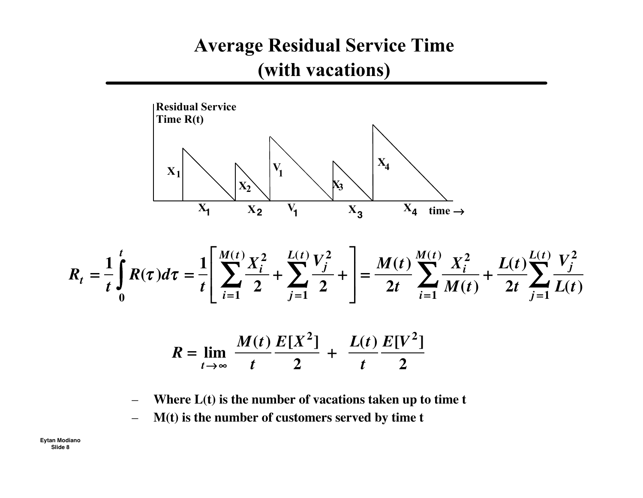## **Average Residual Service Time** (with vacations)



$$
R_{t} = \frac{1}{t} \int_{0}^{t} R(\tau) d\tau = \frac{1}{t} \left[ \sum_{i=1}^{M(t)} \frac{X_{i}^{2}}{2} + \sum_{j=1}^{L(t)} \frac{V_{j}^{2}}{2} + \right] = \frac{M(t)}{2t} \sum_{i=1}^{M(t)} \frac{X_{i}^{2}}{M(t)} + \frac{L(t)}{2t} \sum_{j=1}^{L(t)} \frac{V_{j}^{2}}{L(t)}
$$

$$
R = \lim_{t \to \infty} \frac{M(t)}{t} \frac{E[X^2]}{2} + \frac{L(t)}{t} \frac{E[V^2]}{2}
$$

Where  $L(t)$  is the number of vacations taken up to time  $t$  $\overline{\phantom{0}}$ 

M(t) is the number of customers served by time t  $\overline{\phantom{m}}$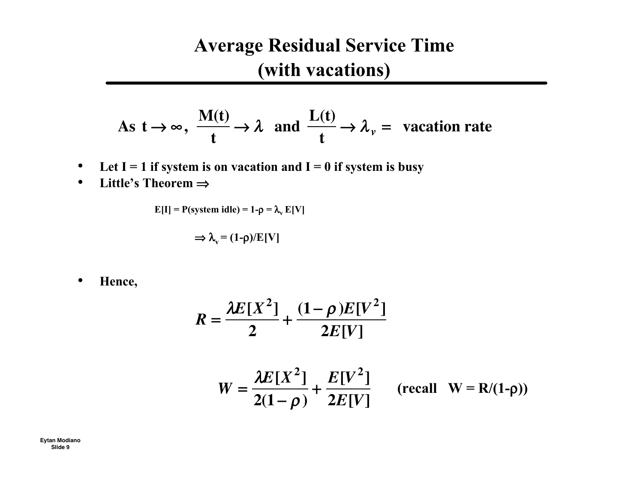## **Average Residual Service Time (with vacations)**

As 
$$
t \to \infty
$$
,  $\frac{M(t)}{t} \to \lambda$  and  $\frac{L(t)}{t} \to \lambda_{\nu}$  = vacation rate

- Let  $I = 1$  if system is on vacation and  $I = 0$  if system is busy
- **Little's Theorem** ⇒

$$
E[I] = P(system idle) = 1 - \rho = \lambda_v E[V]
$$

$$
\Rightarrow \lambda_{v} = (1-\rho)/E[V]
$$

• **Hence,**

$$
R = \frac{\lambda E[X^2]}{2} + \frac{(1-\rho)E[V^2]}{2E[V]}
$$
  
W =  $\frac{\lambda E[X^2]}{2(1-\rho)} + \frac{E[V^2]}{2E[V]}$  (recall W = R/(1-\rho))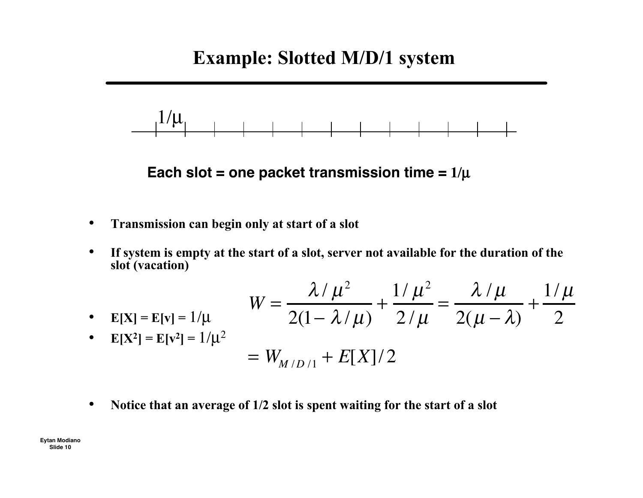#### **Example: Slotted M/D/1 system**



**Each slot = one packet transmission time =**  $1/\mu$ 

- **Transmission can begin only at start of a slot**
- **If system is empty at the start of a slot, server not available for the duration of the slot (vacation)**

• 
$$
E[X] = E[v] = 1/\mu
$$
  
\n•  $E[X^2] = E[v^2] = 1/\mu^2$   
\n
$$
= W_{M/D/1} + E[X]/2
$$
\n
$$
= W_{M/D/1} + E[X]/2
$$

• **Notice that an average of 1/2 slot is spent waiting for the start of a slot**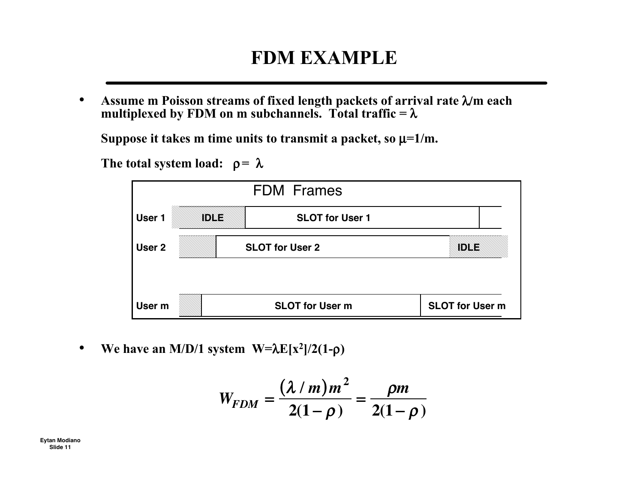### **FDM EXAMPLE**

• **Assume m Poisson streams of fixed length packets of arrival rate** λ/**m each multiplexed by FDM on m subchannels. Total traffic =** λ

Suppose it takes m time units to transmit a packet, so  $\mu = 1/m$ .

The **total** system **load:**  $\rho = \lambda$ 



• **We have an M/D/1 system**  $W=\lambda E[x^2]/2(1-\rho)$ 

$$
W_{FDM} = \frac{(\lambda / m) m^2}{2(1 - \rho)} = \frac{\rho m}{2(1 - \rho)}
$$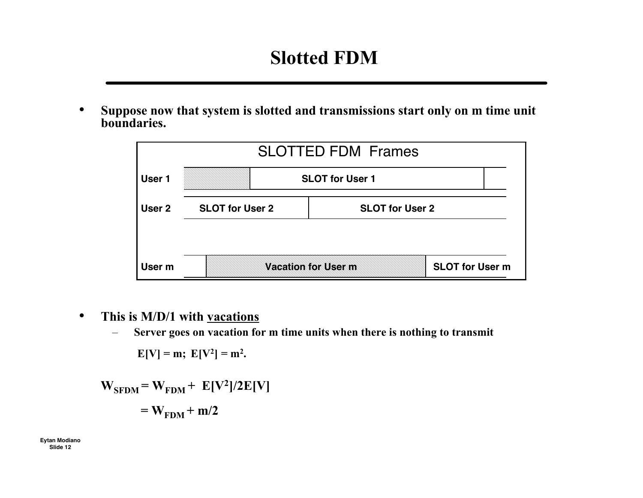### **Slotted FDM**

• **Suppose now that system is slotted and transmissions start only on m time unit boundaries.**



- **This is M/D/1 with vacations**
	- **Server goes on vacation for m time units when there is nothing to transmit**

 $E[V] = m$ ;  $E[V^2] = m^2$ .

$$
W_{\text{SFDM}} = W_{\text{FDM}} + E[V^2]/2E[V]
$$

$$
= W_{\text{FDM}} + m/2
$$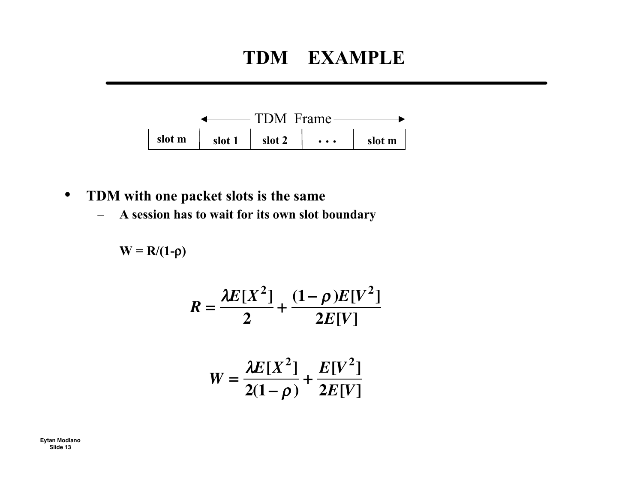### **TDM EXAMPLE**



- **TDM with one packet slots is the same**
	- **A session has to wait for its own slot boundary**

W = R/(1-p)  
\n
$$
R = \frac{\lambda E[X^2]}{2} + \frac{(1-\rho)E[V^2]}{2E[V]}
$$
\n
$$
W = \frac{\lambda E[X^2]}{2(1-\rho)} + \frac{E[V^2]}{2E[V]}
$$